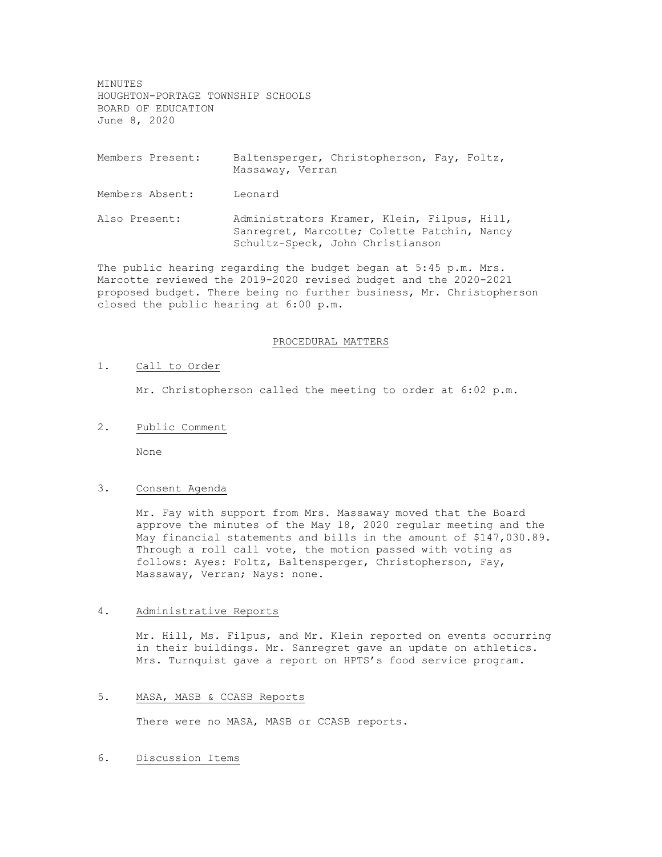MINUTES HOUGHTON-PORTAGE TOWNSHIP SCHOOLS BOARD OF EDUCATION June 8, 2020

- Members Present: Baltensperger, Christopherson, Fay, Foltz, Massaway, Verran
- Members Absent: Leonard
- Also Present: Administrators Kramer, Klein, Filpus, Hill, Sanregret, Marcotte; Colette Patchin, Nancy Schultz-Speck, John Christianson

The public hearing regarding the budget began at 5:45 p.m. Mrs. Marcotte reviewed the 2019-2020 revised budget and the 2020-2021 proposed budget. There being no further business, Mr. Christopherson closed the public hearing at 6:00 p.m.

#### PROCEDURAL MATTERS

### 1. Call to Order

Mr. Christopherson called the meeting to order at 6:02 p.m.

2. Public Comment

None

## 3. Consent Agenda

Mr. Fay with support from Mrs. Massaway moved that the Board approve the minutes of the May 18, 2020 regular meeting and the May financial statements and bills in the amount of \$147,030.89. Through a roll call vote, the motion passed with voting as follows: Ayes: Foltz, Baltensperger, Christopherson, Fay, Massaway, Verran; Nays: none.

#### 4. Administrative Reports

Mr. Hill, Ms. Filpus, and Mr. Klein reported on events occurring in their buildings. Mr. Sanregret gave an update on athletics. Mrs. Turnquist gave a report on HPTS's food service program.

#### 5. MASA, MASB & CCASB Reports

There were no MASA, MASB or CCASB reports.

### 6. Discussion Items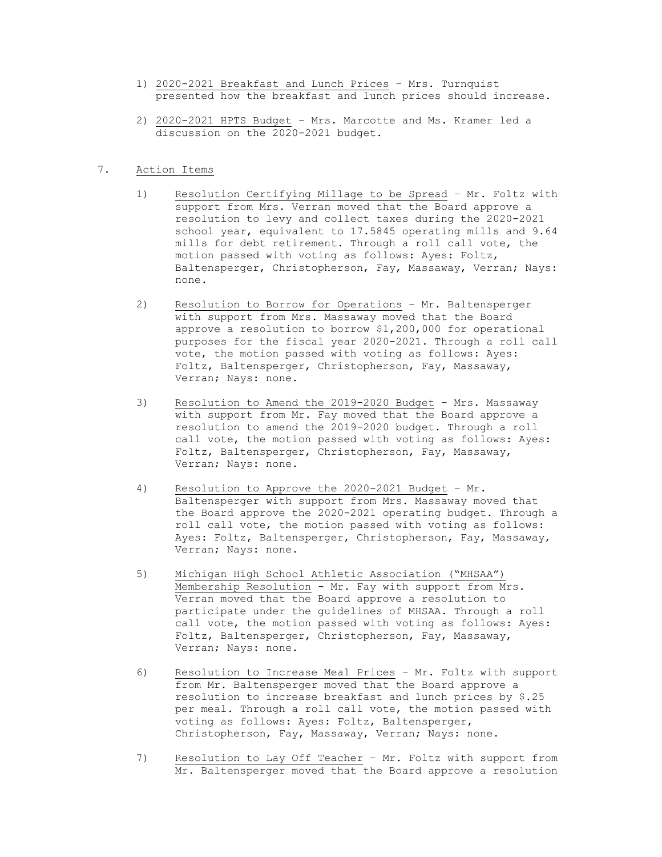- 1) 2020-2021 Breakfast and Lunch Prices Mrs. Turnquist presented how the breakfast and lunch prices should increase.
- 2) 2020-2021 HPTS Budget Mrs. Marcotte and Ms. Kramer led a discussion on the 2020-2021 budget.

## 7. Action Items

- 1) Resolution Certifying Millage to be Spread Mr. Foltz with support from Mrs. Verran moved that the Board approve a resolution to levy and collect taxes during the 2020-2021 school year, equivalent to 17.5845 operating mills and 9.64 mills for debt retirement. Through a roll call vote, the motion passed with voting as follows: Ayes: Foltz, Baltensperger, Christopherson, Fay, Massaway, Verran; Nays: none.
- 2) Resolution to Borrow for Operations Mr. Baltensperger with support from Mrs. Massaway moved that the Board approve a resolution to borrow \$1,200,000 for operational purposes for the fiscal year 2020-2021. Through a roll call vote, the motion passed with voting as follows: Ayes: Foltz, Baltensperger, Christopherson, Fay, Massaway, Verran; Nays: none.
- 3) Resolution to Amend the 2019-2020 Budget Mrs. Massaway with support from Mr. Fay moved that the Board approve a resolution to amend the 2019-2020 budget. Through a roll call vote, the motion passed with voting as follows: Ayes: Foltz, Baltensperger, Christopherson, Fay, Massaway, Verran; Nays: none.
- 4) Resolution to Approve the 2020-2021 Budget Mr. Baltensperger with support from Mrs. Massaway moved that the Board approve the 2020-2021 operating budget. Through a roll call vote, the motion passed with voting as follows: Ayes: Foltz, Baltensperger, Christopherson, Fay, Massaway, Verran; Nays: none.
- 5) Michigan High School Athletic Association ("MHSAA") Membership Resolution - Mr. Fay with support from Mrs. Verran moved that the Board approve a resolution to participate under the guidelines of MHSAA. Through a roll call vote, the motion passed with voting as follows: Ayes: Foltz, Baltensperger, Christopherson, Fay, Massaway, Verran; Nays: none.
- 6) Resolution to Increase Meal Prices Mr. Foltz with support from Mr. Baltensperger moved that the Board approve a resolution to increase breakfast and lunch prices by \$.25 per meal. Through a roll call vote, the motion passed with voting as follows: Ayes: Foltz, Baltensperger, Christopherson, Fay, Massaway, Verran; Nays: none.
- 7) Resolution to Lay Off Teacher Mr. Foltz with support from Mr. Baltensperger moved that the Board approve a resolution